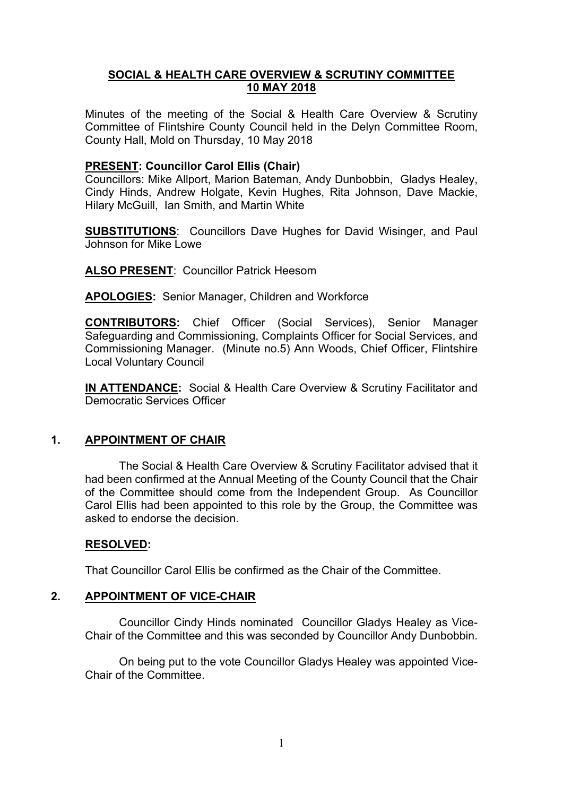# **SOCIAL & HEALTH CARE OVERVIEW & SCRUTINY COMMITTEE 10 MAY 2018**

Minutes of the meeting of the Social & Health Care Overview & Scrutiny Committee of Flintshire County Council held in the Delyn Committee Room, County Hall, Mold on Thursday, 10 May 2018

# **PRESENT: Councillor Carol Ellis (Chair)**

Councillors: Mike Allport, Marion Bateman, Andy Dunbobbin, Gladys Healey, Cindy Hinds, Andrew Holgate, Kevin Hughes, Rita Johnson, Dave Mackie, Hilary McGuill, Ian Smith, and Martin White

**SUBSTITUTIONS**: Councillors Dave Hughes for David Wisinger, and Paul Johnson for Mike Lowe

**ALSO PRESENT**: Councillor Patrick Heesom

**APOLOGIES:** Senior Manager, Children and Workforce

**CONTRIBUTORS:** Chief Officer (Social Services), Senior Manager Safeguarding and Commissioning, Complaints Officer for Social Services, and Commissioning Manager. (Minute no.5) Ann Woods, Chief Officer, Flintshire Local Voluntary Council

**IN ATTENDANCE:** Social & Health Care Overview & Scrutiny Facilitator and Democratic Services Officer

# **1. APPOINTMENT OF CHAIR**

The Social & Health Care Overview & Scrutiny Facilitator advised that it had been confirmed at the Annual Meeting of the County Council that the Chair of the Committee should come from the Independent Group. As Councillor Carol Ellis had been appointed to this role by the Group, the Committee was asked to endorse the decision.

### **RESOLVED:**

That Councillor Carol Ellis be confirmed as the Chair of the Committee.

### **2. APPOINTMENT OF VICE-CHAIR**

Councillor Cindy Hinds nominated Councillor Gladys Healey as Vice-Chair of the Committee and this was seconded by Councillor Andy Dunbobbin.

On being put to the vote Councillor Gladys Healey was appointed Vice-Chair of the Committee.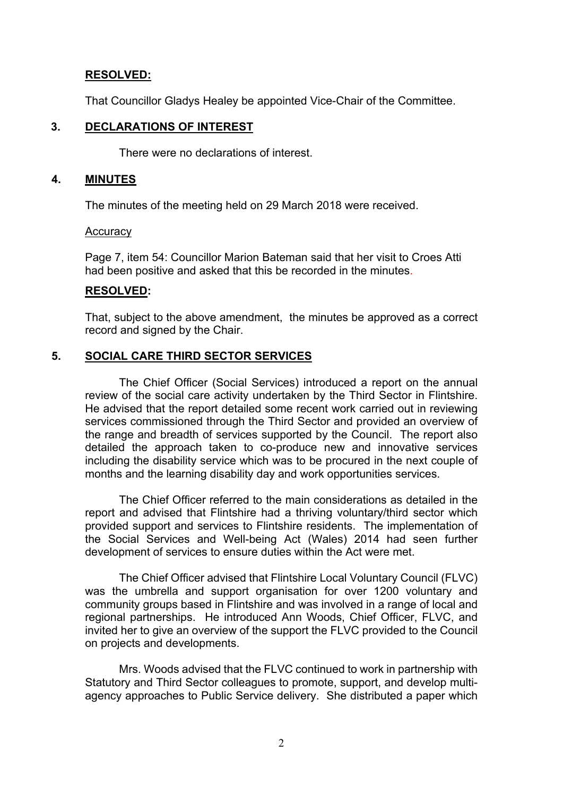# **RESOLVED:**

That Councillor Gladys Healey be appointed Vice-Chair of the Committee.

# **3. DECLARATIONS OF INTEREST**

There were no declarations of interest.

### **4. MINUTES**

The minutes of the meeting held on 29 March 2018 were received.

### **Accuracy**

Page 7, item 54: Councillor Marion Bateman said that her visit to Croes Atti had been positive and asked that this be recorded in the minutes.

# **RESOLVED:**

That, subject to the above amendment, the minutes be approved as a correct record and signed by the Chair.

# **5. SOCIAL CARE THIRD SECTOR SERVICES**

The Chief Officer (Social Services) introduced a report on the annual review of the social care activity undertaken by the Third Sector in Flintshire. He advised that the report detailed some recent work carried out in reviewing services commissioned through the Third Sector and provided an overview of the range and breadth of services supported by the Council. The report also detailed the approach taken to co-produce new and innovative services including the disability service which was to be procured in the next couple of months and the learning disability day and work opportunities services.

The Chief Officer referred to the main considerations as detailed in the report and advised that Flintshire had a thriving voluntary/third sector which provided support and services to Flintshire residents. The implementation of the Social Services and Well-being Act (Wales) 2014 had seen further development of services to ensure duties within the Act were met.

The Chief Officer advised that Flintshire Local Voluntary Council (FLVC) was the umbrella and support organisation for over 1200 voluntary and community groups based in Flintshire and was involved in a range of local and regional partnerships. He introduced Ann Woods, Chief Officer, FLVC, and invited her to give an overview of the support the FLVC provided to the Council on projects and developments.

Mrs. Woods advised that the FLVC continued to work in partnership with Statutory and Third Sector colleagues to promote, support, and develop multiagency approaches to Public Service delivery. She distributed a paper which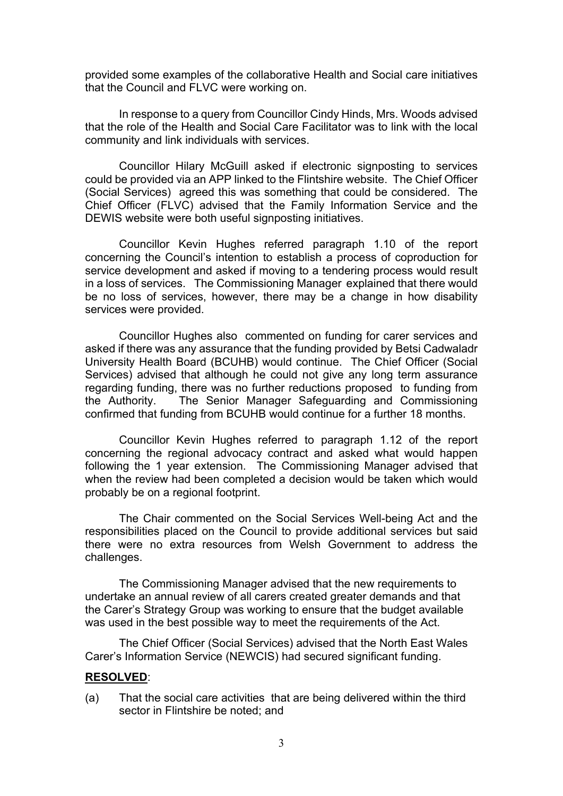provided some examples of the collaborative Health and Social care initiatives that the Council and FLVC were working on.

In response to a query from Councillor Cindy Hinds, Mrs. Woods advised that the role of the Health and Social Care Facilitator was to link with the local community and link individuals with services.

Councillor Hilary McGuill asked if electronic signposting to services could be provided via an APP linked to the Flintshire website. The Chief Officer (Social Services) agreed this was something that could be considered. The Chief Officer (FLVC) advised that the Family Information Service and the DEWIS website were both useful signposting initiatives.

Councillor Kevin Hughes referred paragraph 1.10 of the report concerning the Council's intention to establish a process of coproduction for service development and asked if moving to a tendering process would result in a loss of services. The Commissioning Manager explained that there would be no loss of services, however, there may be a change in how disability services were provided.

Councillor Hughes also commented on funding for carer services and asked if there was any assurance that the funding provided by Betsi Cadwaladr University Health Board (BCUHB) would continue. The Chief Officer (Social Services) advised that although he could not give any long term assurance regarding funding, there was no further reductions proposed to funding from the Authority. The Senior Manager Safeguarding and Commissioning confirmed that funding from BCUHB would continue for a further 18 months.

Councillor Kevin Hughes referred to paragraph 1.12 of the report concerning the regional advocacy contract and asked what would happen following the 1 year extension. The Commissioning Manager advised that when the review had been completed a decision would be taken which would probably be on a regional footprint.

The Chair commented on the Social Services Well-being Act and the responsibilities placed on the Council to provide additional services but said there were no extra resources from Welsh Government to address the challenges.

The Commissioning Manager advised that the new requirements to undertake an annual review of all carers created greater demands and that the Carer's Strategy Group was working to ensure that the budget available was used in the best possible way to meet the requirements of the Act.

The Chief Officer (Social Services) advised that the North East Wales Carer's Information Service (NEWCIS) had secured significant funding.

# **RESOLVED**:

(a) That the social care activities that are being delivered within the third sector in Flintshire be noted; and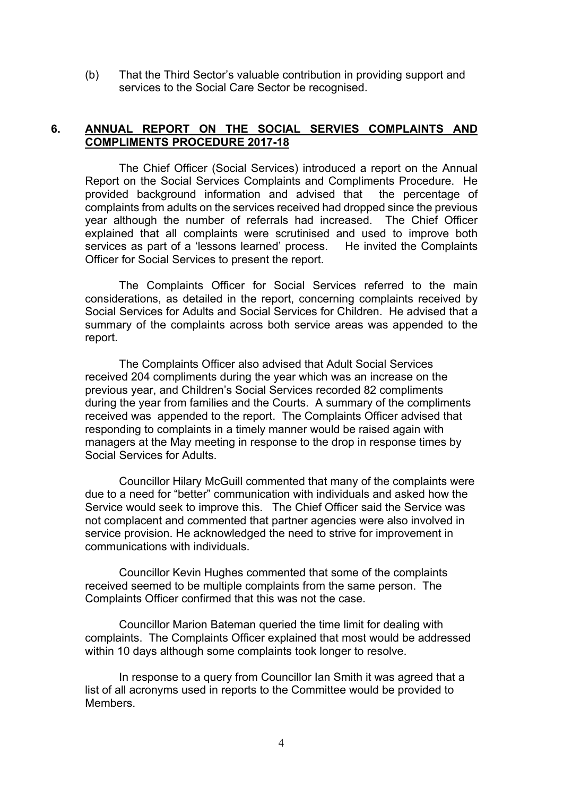(b) That the Third Sector's valuable contribution in providing support and services to the Social Care Sector be recognised.

# **6. ANNUAL REPORT ON THE SOCIAL SERVIES COMPLAINTS AND COMPLIMENTS PROCEDURE 2017-18**

The Chief Officer (Social Services) introduced a report on the Annual Report on the Social Services Complaints and Compliments Procedure. He provided background information and advised that the percentage of complaints from adults on the services received had dropped since the previous year although the number of referrals had increased. The Chief Officer explained that all complaints were scrutinised and used to improve both services as part of a 'lessons learned' process. He invited the Complaints Officer for Social Services to present the report.

The Complaints Officer for Social Services referred to the main considerations, as detailed in the report, concerning complaints received by Social Services for Adults and Social Services for Children. He advised that a summary of the complaints across both service areas was appended to the report.

The Complaints Officer also advised that Adult Social Services received 204 compliments during the year which was an increase on the previous year, and Children's Social Services recorded 82 compliments during the year from families and the Courts. A summary of the compliments received was appended to the report. The Complaints Officer advised that responding to complaints in a timely manner would be raised again with managers at the May meeting in response to the drop in response times by Social Services for Adults.

Councillor Hilary McGuill commented that many of the complaints were due to a need for "better" communication with individuals and asked how the Service would seek to improve this. The Chief Officer said the Service was not complacent and commented that partner agencies were also involved in service provision. He acknowledged the need to strive for improvement in communications with individuals.

Councillor Kevin Hughes commented that some of the complaints received seemed to be multiple complaints from the same person. The Complaints Officer confirmed that this was not the case.

Councillor Marion Bateman queried the time limit for dealing with complaints. The Complaints Officer explained that most would be addressed within 10 days although some complaints took longer to resolve.

In response to a query from Councillor Ian Smith it was agreed that a list of all acronyms used in reports to the Committee would be provided to **Members**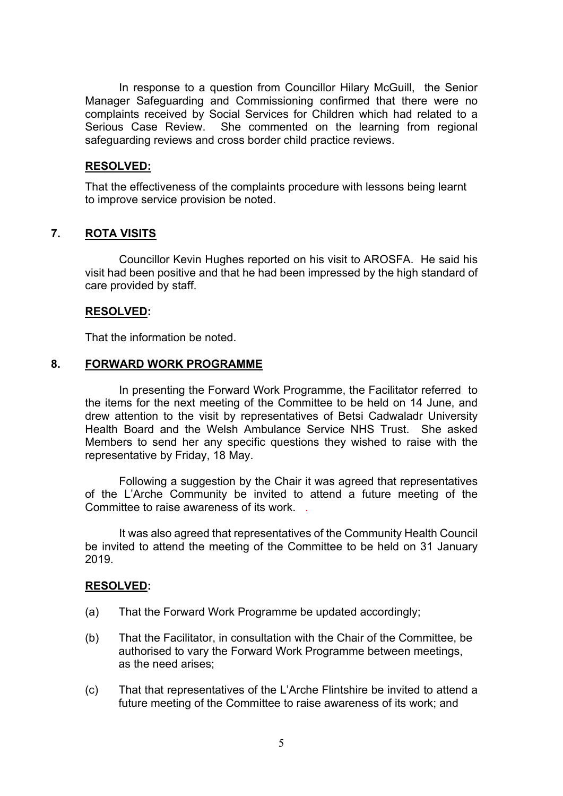In response to a question from Councillor Hilary McGuill, the Senior Manager Safeguarding and Commissioning confirmed that there were no complaints received by Social Services for Children which had related to a Serious Case Review. She commented on the learning from regional safeguarding reviews and cross border child practice reviews.

### **RESOLVED:**

That the effectiveness of the complaints procedure with lessons being learnt to improve service provision be noted.

# **7. ROTA VISITS**

Councillor Kevin Hughes reported on his visit to AROSFA. He said his visit had been positive and that he had been impressed by the high standard of care provided by staff.

### **RESOLVED:**

That the information be noted.

### **8. FORWARD WORK PROGRAMME**

In presenting the Forward Work Programme, the Facilitator referred to the items for the next meeting of the Committee to be held on 14 June, and drew attention to the visit by representatives of Betsi Cadwaladr University Health Board and the Welsh Ambulance Service NHS Trust. She asked Members to send her any specific questions they wished to raise with the representative by Friday, 18 May.

Following a suggestion by the Chair it was agreed that representatives of the L'Arche Community be invited to attend a future meeting of the Committee to raise awareness of its work.

It was also agreed that representatives of the Community Health Council be invited to attend the meeting of the Committee to be held on 31 January 2019.

### **RESOLVED:**

- (a) That the Forward Work Programme be updated accordingly;
- (b) That the Facilitator, in consultation with the Chair of the Committee, be authorised to vary the Forward Work Programme between meetings, as the need arises;
- (c) That that representatives of the L'Arche Flintshire be invited to attend a future meeting of the Committee to raise awareness of its work; and